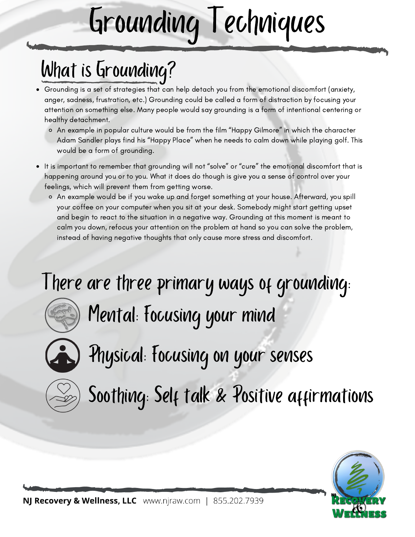# Grounding Techniques

## What is Grounding?

- Grounding is a set of strategies that can help detach you from the emotional discomfort (anxiety, anger, sadness, frustration, etc.) Grounding could be called a form of distraction by focusing your attention on something else. Many people would say grounding is a form of intentional centering or healthy detachment.
	- An example in popular culture would be from the film "Happy Gilmore" in which the character Adam Sandler plays find his "Happy Place" when he needs to calm down while playing golf. This would be a form of grounding.
- It is important to remember that grounding will not "solve" or "cure" the emotional discomfort that is happening around you or to you. What it does do though is give you a sense of control over your feelings, which will prevent them from getting worse.
	- An example would be if you wake up and forget something at your house. Afterward, you spill your coffee on your computer when you sit at your desk. Somebody might start getting upset and begin to react to the situation in a negative way. Grounding at this moment is meant to calm you down, refocus your attention on the problem at hand so you can solve the problem, instead of having negative thoughts that only cause more stress and discomfort.

### There are three primary ways of grounding:



Mental: Focusing your mind



Physical: Focusing on your senses



Soothing: Self talk & Positive affirmations

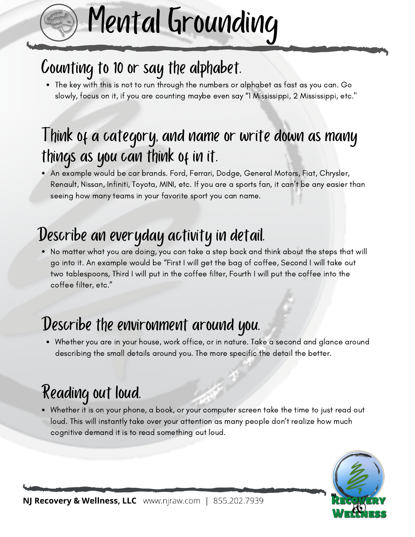# Counting to 10 or say the alphabet.

The key with this is not to run through the numbers or alphabet as fast as you can. Go slowly, focus on it, if you are counting maybe even say "1 Mississippi, 2 Mississippi, etc."

Mental Grounding

#### I hink of a category, and name or write down as many things as you can think of in it.

An example would be car brands. Ford, Ferrari, Dodge, General Motors, Fiat, Chrysler, Renault, Nissan, Infiniti, Toyota, MINI, etc. If you are a sports fan, it can't be any easier than seeing how many teams in your favorite sport you can name.

#### Describe an everyday activity in detail.

No matter what you are doing, you can take a step back and think about the steps that will go into it. An example would be "First I will get the bag of coffee, Second I will take out two tablespoons, Third I will put in the coffee filter, Fourth I will put the coffee into the coffee filter, etc."

#### Describe the environment around you.

Whether you are in your house, work office, or in nature. Take a second and glance around describing the small details around you. The more specific the detail the better.

### Reading out loud.

Whether it is on your phone, a book, or your computer screen take the time to just read out loud. This will instantly take over your attention as many people don't realize how much cognitive demand it is to read something out loud.

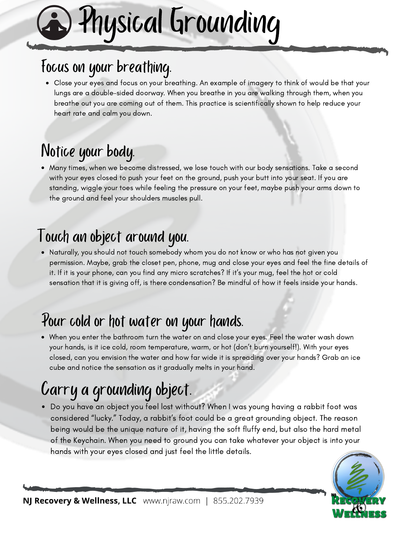# Physical Grounding

#### Focus on your breathing.

Close your eyes and focus on your breathing. An example of imagery to think of would be that your lungs are a double-sided doorway. When you breathe in you are walking through them, when you breathe out you are coming out of them. This practice is scientifically shown to help reduce your heart rate and calm you down.

#### Notice your body.

Many times, when we become distressed, we lose touch with our body sensations. Take a second with your eyes closed to push your feet on the ground, push your butt into your seat. If you are standing, wiggle your toes while feeling the pressure on your feet, maybe push your arms down to the ground and feel your shoulders muscles pull.

#### Touch an object around you.

Naturally, you should not touch somebody whom you do not know or who has not given you permission. Maybe, grab the closet pen, phone, mug and close your eyes and feel the fine details of it. If it is your phone, can you find any micro scratches? If it's your mug, feel the hot or cold sensation that it is giving off, is there condensation? Be mindful of how it feels inside your hands.

#### Pour cold or hot water on your hands.

When you enter the bathroom turn the water on and close your eyes. Feel the water wash down your hands, is it ice cold, room temperature, warm, or hot (don't burn yourself!). With your eyes closed, can you envision the water and how far wide it is spreading over your hands? Grab an ice cube and notice the sensation as it gradually melts in your hand.

### Carry a grounding object.

Do you have an object you feel lost without? When I was young having a rabbit foot was considered "lucky." Today, a rabbit's foot could be a great grounding object. The reason being would be the unique nature of it, having the soft fluffy end, but also the hard metal of the Keychain. When you need to ground you can take whatever your object is into your hands with your eyes closed and just feel the little details.